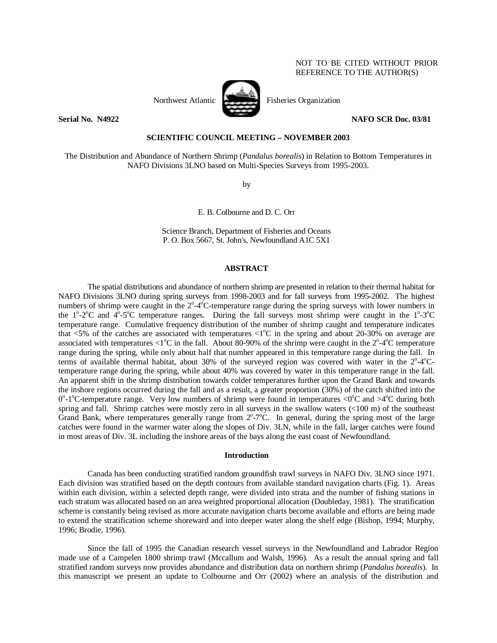## NOT TO BE CITED WITHOUT PRIOR REFERENCE TO THE AUTHOR(S)



Northwest Atlantic Fisheries Organization

**Serial No. N4922 NAFO SCR Doc. 03/81** 

## **SCIENTIFIC COUNCIL MEETING – NOVEMBER 2003**

The Distribution and Abundance of Northern Shrimp (*Pandalus borealis*) in Relation to Bottom Temperatures in NAFO Divisions 3LNO based on Multi-Species Surveys from 1995-2003.

by

E. B. Colbourne and D. C. Orr

Science Branch, Department of Fisheries and Oceans P. O. Box 5667, St. John's, Newfoundland A1C 5X1

# **ABSTRACT**

 The spatial distributions and abundance of northern shrimp are presented in relation to their thermal habitat for NAFO Divisions 3LNO during spring surveys from 1998-2003 and for fall surveys from 1995-2002. The highest numbers of shrimp were caught in the  $2^{\circ}$ -4 $^{\circ}$ C-temperature range during the spring surveys with lower numbers in the  $1^{\circ}$ -2 $^{\circ}$ C and  $4^{\circ}$ -5 $^{\circ}$ C temperature ranges. During the fall surveys most shrimp were caught in the  $1^{\circ}$ -3 $^{\circ}$ C temperature range. Cumulative frequency distribution of the number of shrimp caught and temperature indicates that <5% of the catches are associated with temperatures <1°C in the spring and about 20-30% on average are associated with temperatures <1°C in the fall. About 80-90% of the shrimp were caught in the  $2^{\circ}$ -4°C temperature range during the spring, while only about half that number appeared in this temperature range during the fall. In terms of available thermal habitat, about 30% of the surveyed region was covered with water in the 2°-4°Ctemperature range during the spring, while about 40% was covered by water in this temperature range in the fall. An apparent shift in the shrimp distribution towards colder temperatures further upon the Grand Bank and towards the inshore regions occurred during the fall and as a result, a greater proportion (30%) of the catch shifted into the 0°-1°C-temperature range. Very low numbers of shrimp were found in temperatures <0°C and >4°C during both spring and fall. Shrimp catches were mostly zero in all surveys in the swallow waters (<100 m) of the southeast Grand Bank, where temperatures generally range from  $2^{\circ}$ -7 $^{\circ}$ C. In general, during the spring most of the large catches were found in the warmer water along the slopes of Div. 3LN, while in the fall, larger catches were found in most areas of Div. 3L including the inshore areas of the bays along the east coast of Newfoundland.

## **Introduction**

Canada has been conducting stratified random groundfish trawl surveys in NAFO Div. 3LNO since 1971. Each division was stratified based on the depth contours from available standard navigation charts (Fig. 1). Areas within each division, within a selected depth range, were divided into strata and the number of fishing stations in each stratum was allocated based on an area weighted proportional allocation (Doubleday, 1981). The stratification scheme is constantly being revised as more accurate navigation charts become available and efforts are being made to extend the stratification scheme shoreward and into deeper water along the shelf edge (Bishop, 1994; Murphy, 1996; Brodie, 1996).

Since the fall of 1995 the Canadian research vessel surveys in the Newfoundland and Labrador Region made use of a Campelen 1800 shrimp trawl (Mccallum and Walsh, 1996). As a result the annual spring and fall stratified random surveys now provides abundance and distribution data on northern shrimp (*Pandalus borealis*). In this manuscript we present an update to Colbourne and Orr (2002) where an analysis of the distribution and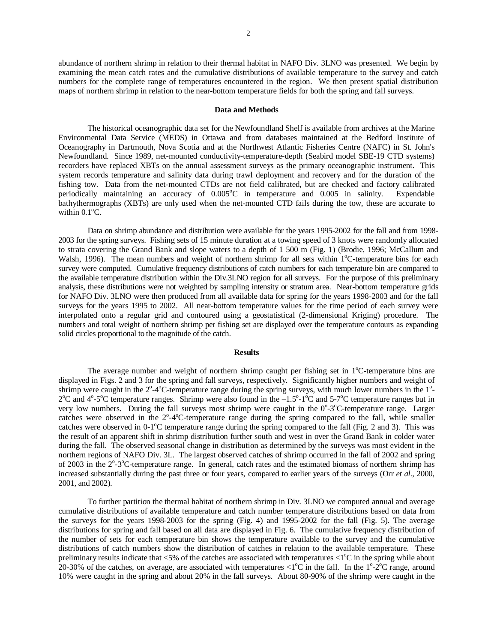abundance of northern shrimp in relation to their thermal habitat in NAFO Div. 3LNO was presented. We begin by examining the mean catch rates and the cumulative distributions of available temperature to the survey and catch numbers for the complete range of temperatures encountered in the region. We then present spatial distribution maps of northern shrimp in relation to the near-bottom temperature fields for both the spring and fall surveys.

#### **Data and Methods**

The historical oceanographic data set for the Newfoundland Shelf is available from archives at the Marine Environmental Data Service (MEDS) in Ottawa and from databases maintained at the Bedford Institute of Oceanography in Dartmouth, Nova Scotia and at the Northwest Atlantic Fisheries Centre (NAFC) in St. John's Newfoundland. Since 1989, net-mounted conductivity-temperature-depth (Seabird model SBE-19 CTD systems) recorders have replaced XBTs on the annual assessment surveys as the primary oceanographic instrument. This system records temperature and salinity data during trawl deployment and recovery and for the duration of the fishing tow. Data from the net-mounted CTDs are not field calibrated, but are checked and factory calibrated periodically maintaining an accuracy of  $0.005^{\circ}$ C in temperature and  $0.005$  in salinity. Expendable bathythermographs (XBTs) are only used when the net-mounted CTD fails during the tow, these are accurate to within  $0.1^{\circ}$ C.

Data on shrimp abundance and distribution were available for the years 1995-2002 for the fall and from 1998- 2003 for the spring surveys. Fishing sets of 15 minute duration at a towing speed of 3 knots were randomly allocated to strata covering the Grand Bank and slope waters to a depth of 1 500 m (Fig. 1) (Brodie, 1996; McCallum and Walsh, 1996). The mean numbers and weight of northern shrimp for all sets within 1°C-temperature bins for each survey were computed. Cumulative frequency distributions of catch numbers for each temperature bin are compared to the available temperature distribution within the Div.3LNO region for all surveys. For the purpose of this preliminary analysis, these distributions were not weighted by sampling intensity or stratum area. Near-bottom temperature grids for NAFO Div. 3LNO were then produced from all available data for spring for the years 1998-2003 and for the fall surveys for the years 1995 to 2002. All near-bottom temperature values for the time period of each survey were interpolated onto a regular grid and contoured using a geostatistical (2-dimensional Kriging) procedure. The numbers and total weight of northern shrimp per fishing set are displayed over the temperature contours as expanding solid circles proportional to the magnitude of the catch.

## **Results**

The average number and weight of northern shrimp caught per fishing set in  $1^{\circ}$ C-temperature bins are displayed in Figs. 2 and 3 for the spring and fall surveys, respectively. Significantly higher numbers and weight of shrimp were caught in the  $2^{\circ}$ -4 $^{\circ}$ C-temperature range during the spring surveys, with much lower numbers in the  $1^{\circ}$ - $2^{\circ}$ C and  $4^{\circ}$ -5<sup>o</sup>C temperature ranges. Shrimp were also found in the  $-1.5^{\circ}$ -1<sup>o</sup>C and 5-7<sup>o</sup>C temperature ranges but in very low numbers. During the fall surveys most shrimp were caught in the 0°-3°C-temperature range. Larger catches were observed in the  $2^{\circ}$ -4 $^{\circ}$ C-temperature range during the spring compared to the fall, while smaller catches were observed in 0-1°C temperature range during the spring compared to the fall (Fig. 2 and 3). This was the result of an apparent shift in shrimp distribution further south and west in over the Grand Bank in colder water during the fall. The observed seasonal change in distribution as determined by the surveys was most evident in the northern regions of NAFO Div. 3L. The largest observed catches of shrimp occurred in the fall of 2002 and spring of 2003 in the 2°-3°C-temperature range. In general, catch rates and the estimated biomass of northern shrimp has increased substantially during the past three or four years, compared to earlier years of the surveys (Orr *et al*., 2000, 2001, and 2002).

 To further partition the thermal habitat of northern shrimp in Div. 3LNO we computed annual and average cumulative distributions of available temperature and catch number temperature distributions based on data from the surveys for the years 1998-2003 for the spring (Fig. 4) and 1995-2002 for the fall (Fig. 5). The average distributions for spring and fall based on all data are displayed in Fig. 6. The cumulative frequency distribution of the number of sets for each temperature bin shows the temperature available to the survey and the cumulative distributions of catch numbers show the distribution of catches in relation to the available temperature. These preliminary results indicate that  $< 5\%$  of the catches are associated with temperatures  $< 1\degree C$  in the spring while about 20-30% of the catches, on average, are associated with temperatures  $\langle 1^{\circ}C \rangle$  in the fall. In the  $1^{\circ}$ -2°C range, around 10% were caught in the spring and about 20% in the fall surveys. About 80-90% of the shrimp were caught in the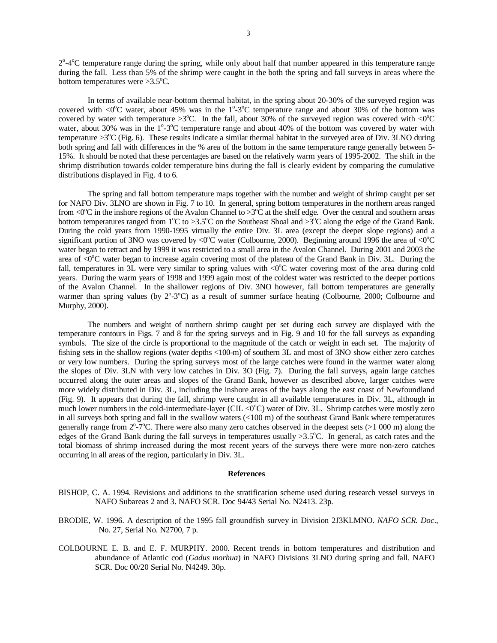2<sup>o</sup>-4<sup>o</sup>C temperature range during the spring, while only about half that number appeared in this temperature range during the fall. Less than 5% of the shrimp were caught in the both the spring and fall surveys in areas where the bottom temperatures were  $>3.5^{\circ}$ C.

In terms of available near-bottom thermal habitat, in the spring about 20-30% of the surveyed region was covered with <0 $^{\circ}$ C water, about 45% was in the 1 $^{\circ}$ -3 $^{\circ}$ C temperature range and about 30% of the bottom was covered by water with temperature >3°C. In the fall, about 30% of the surveyed region was covered with <0°C water, about 30% was in the 1°-3°C temperature range and about 40% of the bottom was covered by water with temperature  $>3^{\circ}$ C (Fig. 6). These results indicate a similar thermal habitat in the surveyed area of Div. 3LNO during both spring and fall with differences in the % area of the bottom in the same temperature range generally between 5- 15%. It should be noted that these percentages are based on the relatively warm years of 1995-2002. The shift in the shrimp distribution towards colder temperature bins during the fall is clearly evident by comparing the cumulative distributions displayed in Fig. 4 to 6.

The spring and fall bottom temperature maps together with the number and weight of shrimp caught per set for NAFO Div. 3LNO are shown in Fig. 7 to 10. In general, spring bottom temperatures in the northern areas ranged from <0 $^{\circ}$ C in the inshore regions of the Avalon Channel to >3 $^{\circ}$ C at the shelf edge. Over the central and southern areas bottom temperatures ranged from 1°C to >3.5°C on the Southeast Shoal and >3°C along the edge of the Grand Bank. During the cold years from 1990-1995 virtually the entire Div. 3L area (except the deeper slope regions) and a significant portion of 3NO was covered by <0 $^{\circ}$ C water (Colbourne, 2000). Beginning around 1996 the area of <0 $^{\circ}$ C water began to retract and by 1999 it was restricted to a small area in the Avalon Channel. During 2001 and 2003 the area of  $\langle 0^{\circ}$ C water began to increase again covering most of the plateau of the Grand Bank in Div. 3L. During the fall, temperatures in  $3L$  were very similar to spring values with <0 $^{\circ}$ C water covering most of the area during cold years. During the warm years of 1998 and 1999 again most of the coldest water was restricted to the deeper portions of the Avalon Channel. In the shallower regions of Div. 3NO however, fall bottom temperatures are generally warmer than spring values (by 2°-3°C) as a result of summer surface heating (Colbourne, 2000; Colbourne and Murphy, 2000).

The numbers and weight of northern shrimp caught per set during each survey are displayed with the temperature contours in Figs. 7 and 8 for the spring surveys and in Fig. 9 and 10 for the fall surveys as expanding symbols. The size of the circle is proportional to the magnitude of the catch or weight in each set. The majority of fishing sets in the shallow regions (water depths <100-m) of southern 3L and most of 3NO show either zero catches or very low numbers. During the spring surveys most of the large catches were found in the warmer water along the slopes of Div. 3LN with very low catches in Div. 3O (Fig. 7). During the fall surveys, again large catches occurred along the outer areas and slopes of the Grand Bank, however as described above, larger catches were more widely distributed in Div. 3L, including the inshore areas of the bays along the east coast of Newfoundland (Fig. 9). It appears that during the fall, shrimp were caught in all available temperatures in Div. 3L, although in much lower numbers in the cold-intermediate-layer (CIL  $\langle 0^{\circ}C \rangle$  water of Div. 3L. Shrimp catches were mostly zero in all surveys both spring and fall in the swallow waters (<100 m) of the southeast Grand Bank where temperatures generally range from  $2^{\circ}$ -7°C. There were also many zero catches observed in the deepest sets (>1 000 m) along the edges of the Grand Bank during the fall surveys in temperatures usually  $>3.5^{\circ}$ C. In general, as catch rates and the total biomass of shrimp increased during the most recent years of the surveys there were more non-zero catches occurring in all areas of the region, particularly in Div. 3L.

#### **References**

- BISHOP, C. A. 1994. Revisions and additions to the stratification scheme used during research vessel surveys in NAFO Subareas 2 and 3. NAFO SCR. Doc 94/43 Serial No. N2413. 23p.
- BRODIE, W. 1996. A description of the 1995 fall groundfish survey in Division 2J3KLMNO. *NAFO SCR. Doc*., No. 27, Serial No. N2700, 7 p.
- COLBOURNE E. B. and E. F. MURPHY. 2000. Recent trends in bottom temperatures and distribution and abundance of Atlantic cod (*Gadus morhua*) in NAFO Divisions 3LNO during spring and fall. NAFO SCR. Doc 00/20 Serial No. N4249. 30p.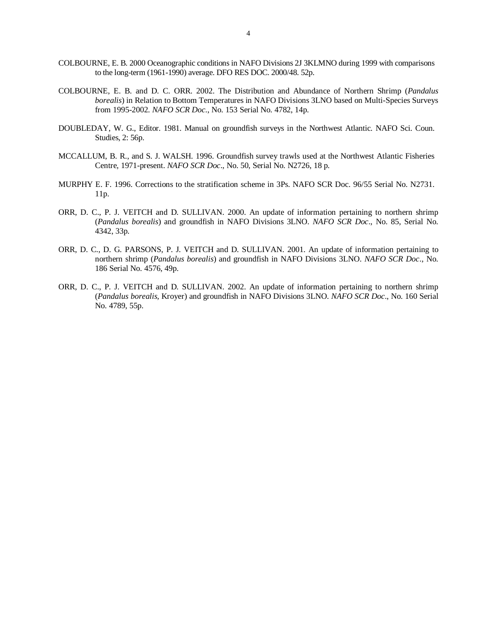- COLBOURNE, E. B. 2000 Oceanographic conditions in NAFO Divisions 2J 3KLMNO during 1999 with comparisons to the long-term (1961-1990) average. DFO RES DOC. 2000/48. 52p.
- COLBOURNE, E. B. and D. C. ORR. 2002. The Distribution and Abundance of Northern Shrimp (*Pandalus borealis*) in Relation to Bottom Temperatures in NAFO Divisions 3LNO based on Multi-Species Surveys from 1995-2002. *NAFO SCR Doc*., No. 153 Serial No. 4782, 14p.
- DOUBLEDAY, W. G., Editor. 1981. Manual on groundfish surveys in the Northwest Atlantic. NAFO Sci. Coun. Studies, 2: 56p.
- MCCALLUM, B. R., and S. J. WALSH. 1996. Groundfish survey trawls used at the Northwest Atlantic Fisheries Centre, 1971-present. *NAFO SCR Doc*., No. 50, Serial No. N2726, 18 p.
- MURPHY E. F. 1996. Corrections to the stratification scheme in 3Ps. NAFO SCR Doc. 96/55 Serial No. N2731. 11p.
- ORR, D. C., P. J. VEITCH and D. SULLIVAN. 2000. An update of information pertaining to northern shrimp (*Pandalus borealis*) and groundfish in NAFO Divisions 3LNO. *NAFO SCR Doc*., No. 85, Serial No. 4342, 33p.
- ORR, D. C., D. G. PARSONS, P. J. VEITCH and D. SULLIVAN. 2001. An update of information pertaining to northern shrimp (*Pandalus borealis*) and groundfish in NAFO Divisions 3LNO. *NAFO SCR Doc*., No. 186 Serial No. 4576, 49p.
- ORR, D. C., P. J. VEITCH and D. SULLIVAN. 2002. An update of information pertaining to northern shrimp (*Pandalus borealis,* Kroyer) and groundfish in NAFO Divisions 3LNO. *NAFO SCR Doc*., No. 160 Serial No. 4789, 55p.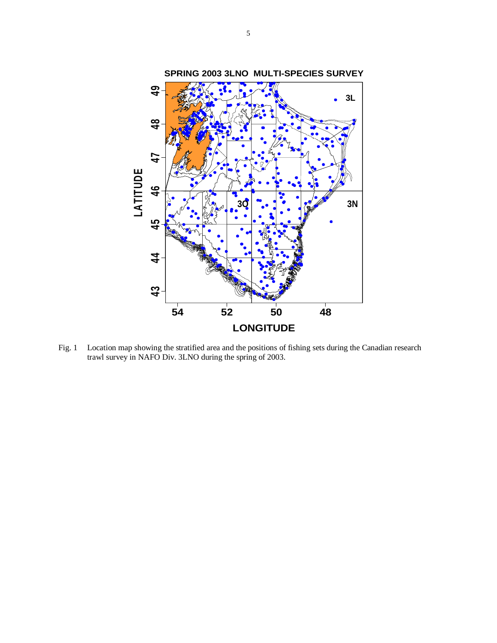

Fig. 1 Location map showing the stratified area and the positions of fishing sets during the Canadian research trawl survey in NAFO Div. 3LNO during the spring of 2003.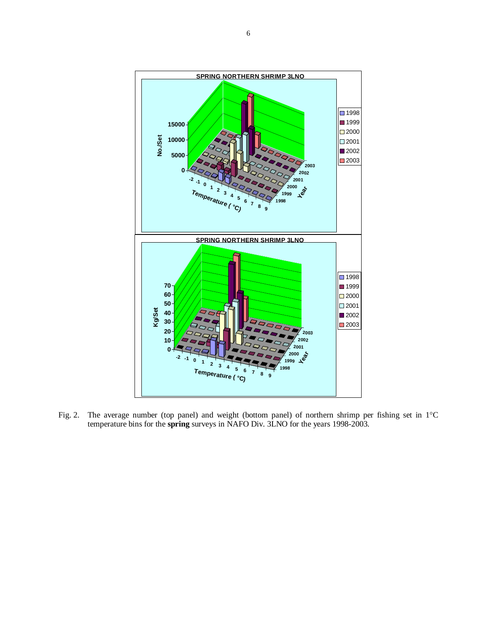

Fig. 2. The average number (top panel) and weight (bottom panel) of northern shrimp per fishing set in 1°C temperature bins for the **spring** surveys in NAFO Div. 3LNO for the years 1998-2003.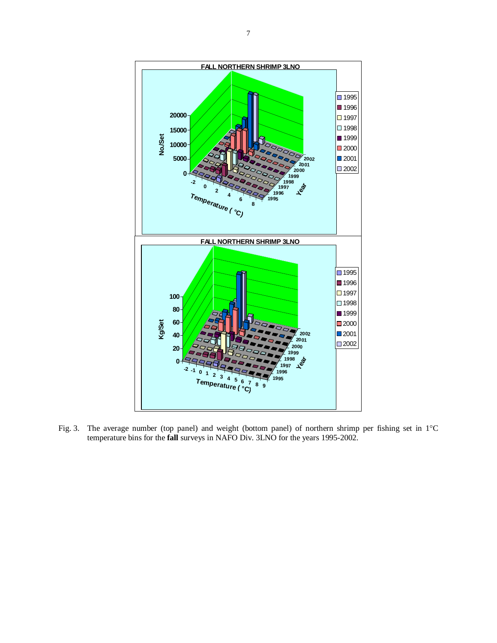

Fig. 3. The average number (top panel) and weight (bottom panel) of northern shrimp per fishing set in 1°C temperature bins for the **fall** surveys in NAFO Div. 3LNO for the years 1995-2002.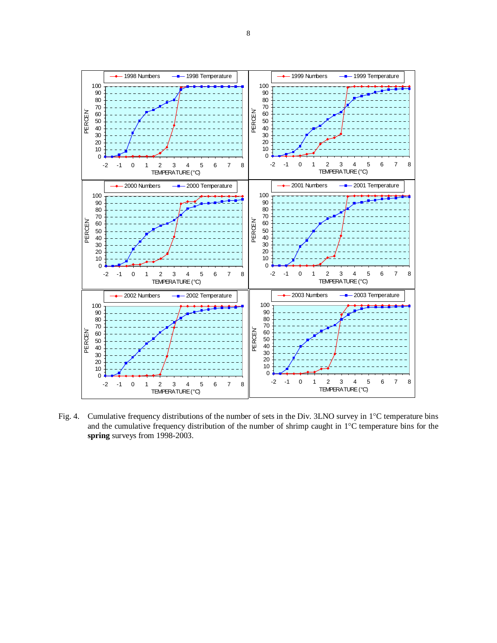

Fig. 4. Cumulative frequency distributions of the number of sets in the Div. 3LNO survey in 1°C temperature bins and the cumulative frequency distribution of the number of shrimp caught in 1°C temperature bins for the **spring** surveys from 1998-2003.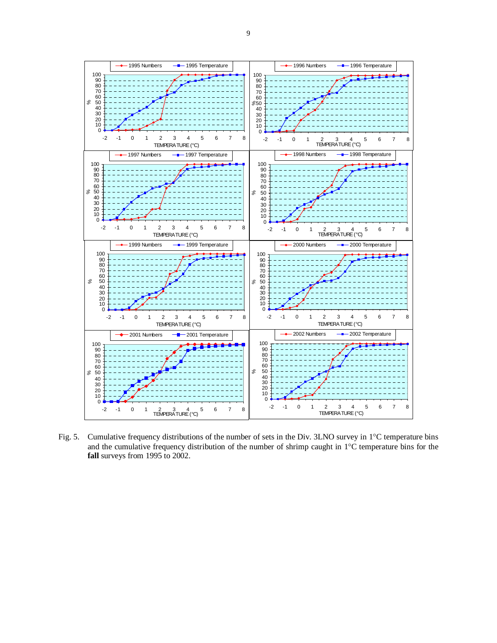

Fig. 5. Cumulative frequency distributions of the number of sets in the Div. 3LNO survey in 1°C temperature bins and the cumulative frequency distribution of the number of shrimp caught in 1°C temperature bins for the **fall** surveys from 1995 to 2002.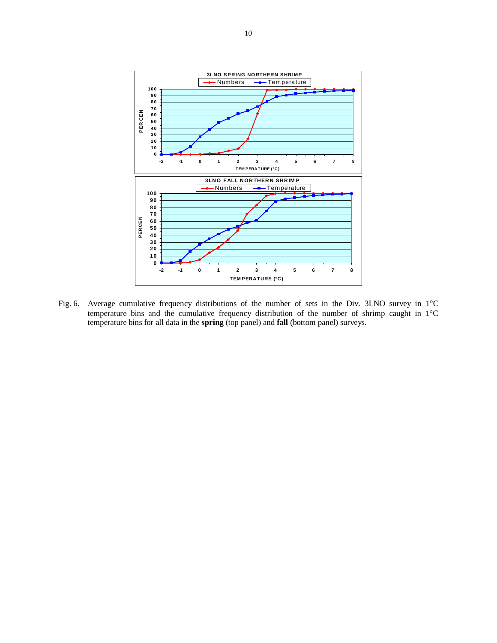

Fig. 6. Average cumulative frequency distributions of the number of sets in the Div. 3LNO survey in 1°C temperature bins and the cumulative frequency distribution of the number of shrimp caught in 1°C temperature bins for all data in the **spring** (top panel) and **fall** (bottom panel) surveys.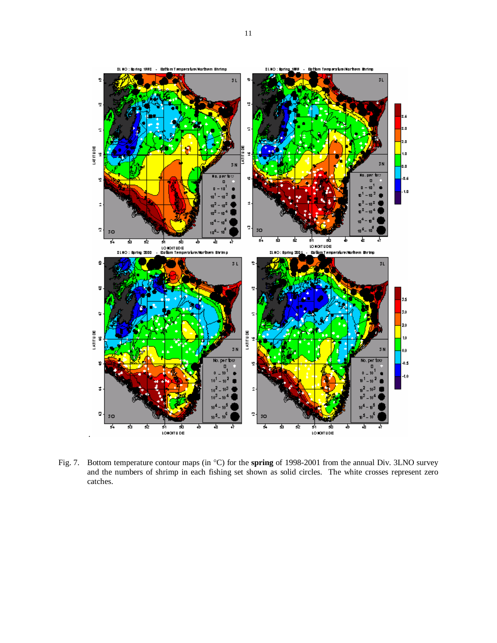

Fig. 7. Bottom temperature contour maps (in °C) for the **spring** of 1998-2001 from the annual Div. 3LNO survey and the numbers of shrimp in each fishing set shown as solid circles. The white crosses represent zero catches.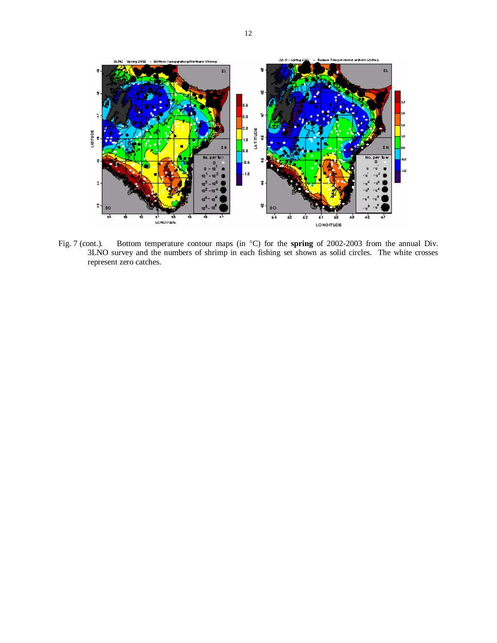

Fig. 7 (cont.). Bottom temperature contour maps (in °C) for the **spring** of 2002-2003 from the annual Div. 3LNO survey and the numbers of shrimp in each fishing set shown as solid circles. The white crosses represent zero catches.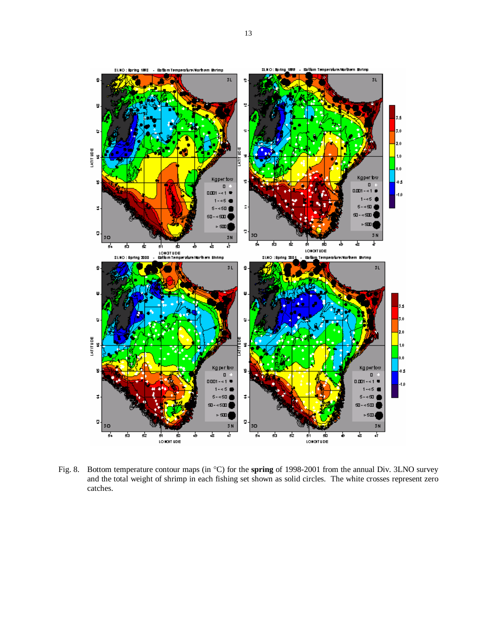

Fig. 8. Bottom temperature contour maps (in °C) for the **spring** of 1998-2001 from the annual Div. 3LNO survey and the total weight of shrimp in each fishing set shown as solid circles. The white crosses represent zero catches.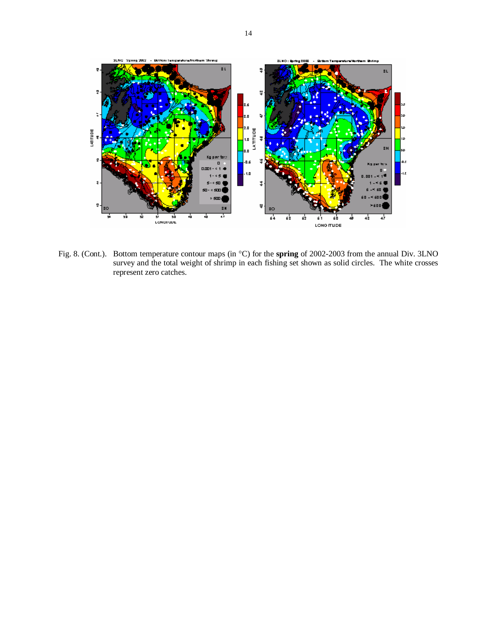

Fig. 8. (Cont.). Bottom temperature contour maps (in °C) for the **spring** of 2002-2003 from the annual Div. 3LNO survey and the total weight of shrimp in each fishing set shown as solid circles. The white crosses represent zero catches.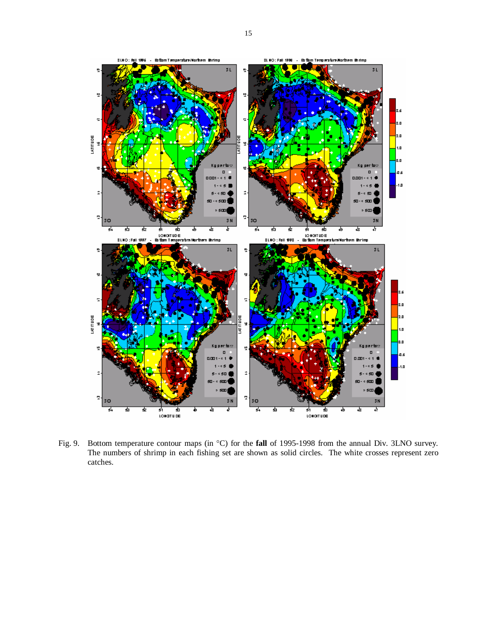

Fig. 9. Bottom temperature contour maps (in °C) for the **fall** of 1995-1998 from the annual Div. 3LNO survey. The numbers of shrimp in each fishing set are shown as solid circles. The white crosses represent zero catches.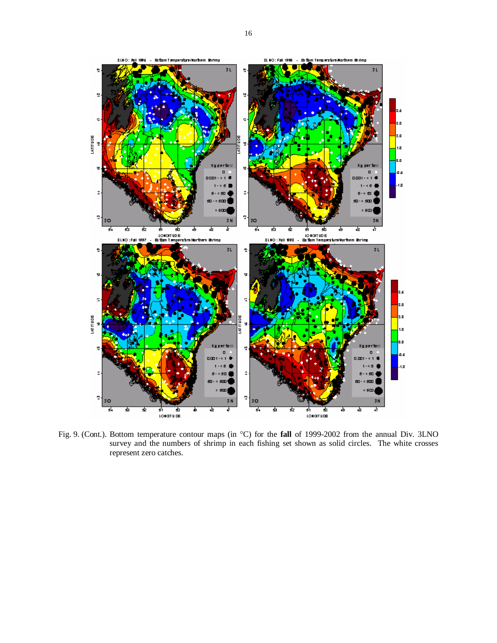

Fig. 9. (Cont.). Bottom temperature contour maps (in °C) for the **fall** of 1999-2002 from the annual Div. 3LNO survey and the numbers of shrimp in each fishing set shown as solid circles. The white crosses represent zero catches.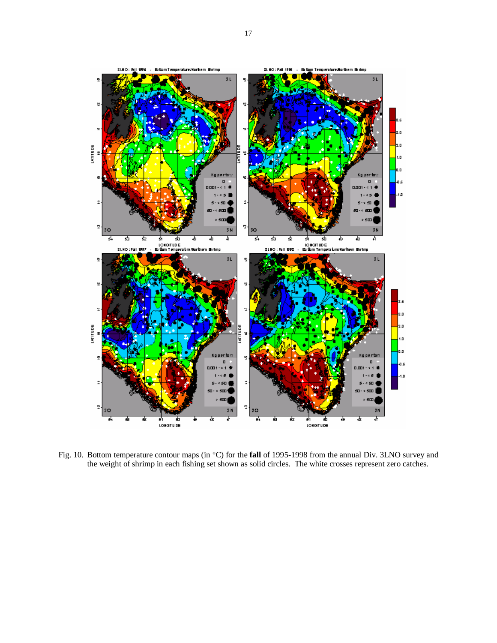

Fig. 10. Bottom temperature contour maps (in °C) for the **fall** of 1995-1998 from the annual Div. 3LNO survey and the weight of shrimp in each fishing set shown as solid circles. The white crosses represent zero catches.